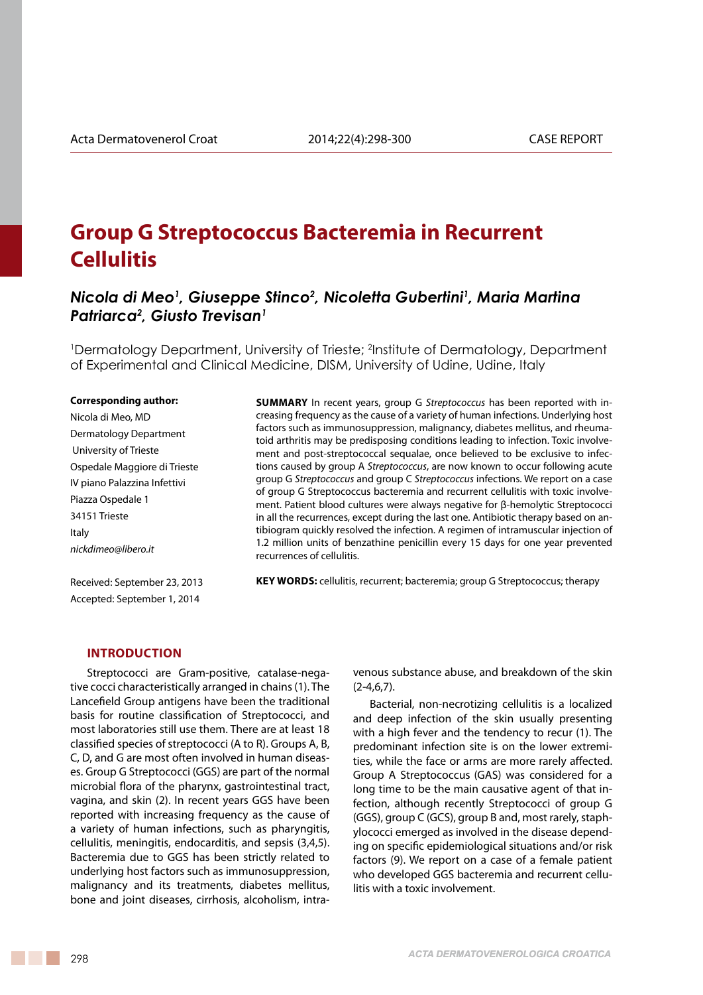# **Group G Streptococcus Bacteremia in Recurrent Cellulitis**

## *Nicola di Meo1 , Giuseppe Stinco2 , Nicoletta Gubertini1 , Maria Martina Patriarca2 , Giusto Trevisan1*

<sup>1</sup>Dermatology Department, University of Trieste; <sup>2</sup>Institute of Dermatology, Department of Experimental and Clinical Medicine, DISM, University of Udine, Udine, Italy

#### **Corresponding author:**

Nicola di Meo, MD Dermatology Department University of Trieste Ospedale Maggiore di Trieste IV piano Palazzina Infettivi Piazza Ospedale 1 34151 Trieste Italy *nickdimeo@libero.it*

Received: September 23, 2013 Accepted: September 1, 2014

**Summary** In recent years, group G *Streptococcus* has been reported with increasing frequency as the cause of a variety of human infections. Underlying host factors such as immunosuppression, malignancy, diabetes mellitus, and rheumatoid arthritis may be predisposing conditions leading to infection. Toxic involvement and post-streptococcal sequalae, once believed to be exclusive to infections caused by group A *Streptococcus*, are now known to occur following acute group G *Streptococcus* and group C *Streptococcus* infections. We report on a case of group G Streptococcus bacteremia and recurrent cellulitis with toxic involvement. Patient blood cultures were always negative for β-hemolytic Streptococci in all the recurrences, except during the last one. Antibiotic therapy based on antibiogram quickly resolved the infection. A regimen of intramuscular injection of 1.2 million units of benzathine penicillin every 15 days for one year prevented recurrences of cellulitis.

**KEY WORDS:** cellulitis, recurrent; bacteremia; group G Streptococcus; therapy

#### **Introduction**

Streptococci are Gram-positive, catalase-negative cocci characteristically arranged in chains (1). The Lancefield Group antigens have been the traditional basis for routine classification of Streptococci, and most laboratories still use them. There are at least 18 classified species of streptococci (A to R). Groups A, B, C, D, and G are most often involved in human diseases. Group G Streptococci (GGS) are part of the normal microbial flora of the pharynx, gastrointestinal tract, vagina, and skin (2). In recent years GGS have been reported with increasing frequency as the cause of a variety of human infections, such as pharyngitis, cellulitis, meningitis, endocarditis, and sepsis (3,4,5). Bacteremia due to GGS has been strictly related to underlying host factors such as immunosuppression, malignancy and its treatments, diabetes mellitus, bone and joint diseases, cirrhosis, alcoholism, intravenous substance abuse, and breakdown of the skin  $(2-4,6,7)$ .

Bacterial, non-necrotizing cellulitis is a localized and deep infection of the skin usually presenting with a high fever and the tendency to recur (1). The predominant infection site is on the lower extremities, while the face or arms are more rarely affected. Group A Streptococcus (GAS) was considered for a long time to be the main causative agent of that infection, although recently Streptococci of group G (GGS), group C (GCS), group B and, most rarely, staphylococci emerged as involved in the disease depending on specific epidemiological situations and/or risk factors (9). We report on a case of a female patient who developed GGS bacteremia and recurrent cellulitis with a toxic involvement.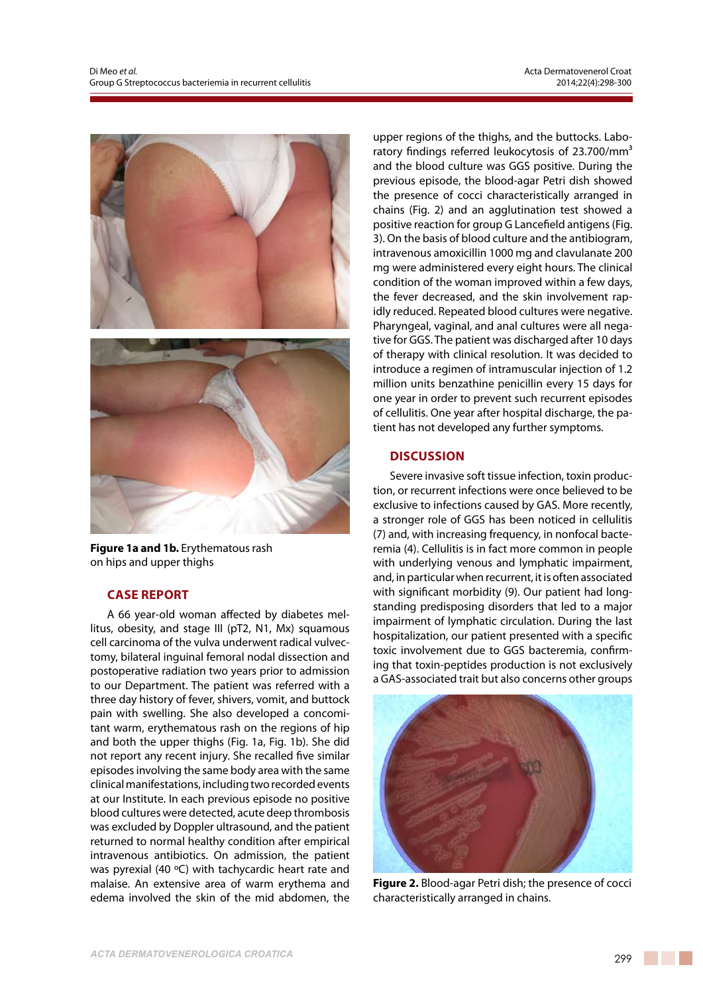

**Figure 1a and 1b.** Erythematous rash on hips and upper thighs

## **Case Report**

A 66 year-old woman affected by diabetes mellitus, obesity, and stage III (pT2, N1, Mx) squamous cell carcinoma of the vulva underwent radical vulvectomy, bilateral inguinal femoral nodal dissection and postoperative radiation two years prior to admission to our Department. The patient was referred with a three day history of fever, shivers, vomit, and buttock pain with swelling. She also developed a concomitant warm, erythematous rash on the regions of hip and both the upper thighs (Fig. 1a, Fig. 1b). She did not report any recent injury. She recalled five similar episodes involving the same body area with the same clinical manifestations, including two recorded events at our Institute. In each previous episode no positive blood cultures were detected, acute deep thrombosis was excluded by Doppler ultrasound, and the patient returned to normal healthy condition after empirical intravenous antibiotics. On admission, the patient was pyrexial (40 ºC) with tachycardic heart rate and malaise. An extensive area of warm erythema and edema involved the skin of the mid abdomen, the upper regions of the thighs, and the buttocks. Laboratory findings referred leukocytosis of 23.700/mm<sup>3</sup> and the blood culture was GGS positive. During the previous episode, the blood-agar Petri dish showed the presence of cocci characteristically arranged in chains (Fig. 2) and an agglutination test showed a positive reaction for group G Lancefield antigens (Fig. 3). On the basis of blood culture and the antibiogram, intravenous amoxicillin 1000 mg and clavulanate 200 mg were administered every eight hours. The clinical condition of the woman improved within a few days, the fever decreased, and the skin involvement rapidly reduced. Repeated blood cultures were negative. Pharyngeal, vaginal, and anal cultures were all negative for GGS. The patient was discharged after 10 days of therapy with clinical resolution. It was decided to introduce a regimen of intramuscular injection of 1.2 million units benzathine penicillin every 15 days for one year in order to prevent such recurrent episodes of cellulitis. One year after hospital discharge, the patient has not developed any further symptoms.

## **Discussion**

Severe invasive soft tissue infection, toxin production, or recurrent infections were once believed to be exclusive to infections caused by GAS. More recently, a stronger role of GGS has been noticed in cellulitis (7) and, with increasing frequency, in nonfocal bacteremia (4). Cellulitis is in fact more common in people with underlying venous and lymphatic impairment, and, in particular when recurrent, it is often associated with significant morbidity (9). Our patient had longstanding predisposing disorders that led to a major impairment of lymphatic circulation. During the last hospitalization, our patient presented with a specific toxic involvement due to GGS bacteremia, confirming that toxin-peptides production is not exclusively a GAS-associated trait but also concerns other groups



**Figure 2.** Blood-agar Petri dish; the presence of cocci characteristically arranged in chains.